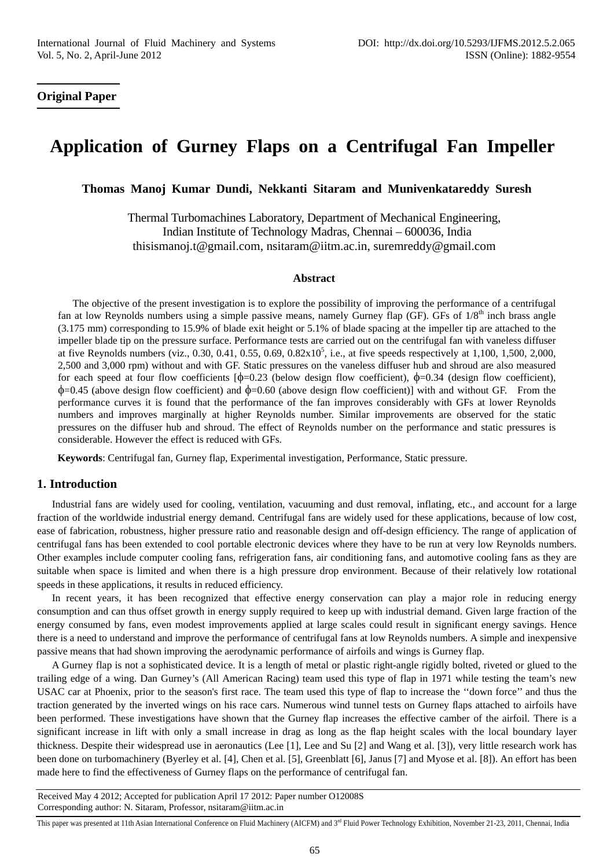# **Original Paper**

# **Application of Gurney Flaps on a Centrifugal Fan Impeller**

**Thomas Manoj Kumar Dundi, Nekkanti Sitaram and Munivenkatareddy Suresh** 

Thermal Turbomachines Laboratory, Department of Mechanical Engineering, Indian Institute of Technology Madras, Chennai – 600036, India thisismanoj.t@gmail.com, nsitaram@iitm.ac.in, suremreddy@gmail.com

#### **Abstract**

The objective of the present investigation is to explore the possibility of improving the performance of a centrifugal fan at low Reynolds numbers using a simple passive means, namely Gurney flap (GF). GFs of 1/8<sup>th</sup> inch brass angle (3.175 mm) corresponding to 15.9% of blade exit height or 5.1% of blade spacing at the impeller tip are attached to the impeller blade tip on the pressure surface. Performance tests are carried out on the centrifugal fan with vaneless diffuser at five Reynolds numbers (viz., 0.30, 0.41, 0.55, 0.69,  $0.82 \times 10^5$ , i.e., at five speeds respectively at 1,100, 1,500, 2,000, 2,500 and 3,000 rpm) without and with GF. Static pressures on the vaneless diffuser hub and shroud are also measured for each speed at four flow coefficients  $[\phi=0.23]$  (below design flow coefficient),  $\phi=0.34$  (design flow coefficient),  $\phi$ =0.45 (above design flow coefficient) and  $\phi$ =0.60 (above design flow coefficient)] with and without GF. From the performance curves it is found that the performance of the fan improves considerably with GFs at lower Reynolds numbers and improves marginally at higher Reynolds number. Similar improvements are observed for the static pressures on the diffuser hub and shroud. The effect of Reynolds number on the performance and static pressures is considerable. However the effect is reduced with GFs.

**Keywords**: Centrifugal fan, Gurney flap, Experimental investigation, Performance, Static pressure.

#### **1. Introduction**

Industrial fans are widely used for cooling, ventilation, vacuuming and dust removal, inflating, etc., and account for a large fraction of the worldwide industrial energy demand. Centrifugal fans are widely used for these applications, because of low cost, ease of fabrication, robustness, higher pressure ratio and reasonable design and off-design efficiency. The range of application of centrifugal fans has been extended to cool portable electronic devices where they have to be run at very low Reynolds numbers. Other examples include computer cooling fans, refrigeration fans, air conditioning fans, and automotive cooling fans as they are suitable when space is limited and when there is a high pressure drop environment. Because of their relatively low rotational speeds in these applications, it results in reduced efficiency.

In recent years, it has been recognized that effective energy conservation can play a major role in reducing energy consumption and can thus offset growth in energy supply required to keep up with industrial demand. Given large fraction of the energy consumed by fans, even modest improvements applied at large scales could result in significant energy savings. Hence there is a need to understand and improve the performance of centrifugal fans at low Reynolds numbers. A simple and inexpensive passive means that had shown improving the aerodynamic performance of airfoils and wings is Gurney flap.

A Gurney flap is not a sophisticated device. It is a length of metal or plastic right-angle rigidly bolted, riveted or glued to the trailing edge of a wing. Dan Gurney's (All American Racing) team used this type of flap in 1971 while testing the team's new USAC car at Phoenix, prior to the season's first race. The team used this type of flap to increase the ''down force'' and thus the traction generated by the inverted wings on his race cars. Numerous wind tunnel tests on Gurney flaps attached to airfoils have been performed. These investigations have shown that the Gurney flap increases the effective camber of the airfoil. There is a significant increase in lift with only a small increase in drag as long as the flap height scales with the local boundary layer thickness. Despite their widespread use in aeronautics (Lee [1], Lee and Su [2] and Wang et al. [3]), very little research work has been done on turbomachinery (Byerley et al. [4], Chen et al. [5], Greenblatt [6], Janus [7] and Myose et al. [8]). An effort has been made here to find the effectiveness of Gurney flaps on the performance of centrifugal fan.

Received May 4 2012; Accepted for publication April 17 2012: Paper number O12008S Corresponding author: N. Sitaram, Professor, nsitaram@iitm.ac.in

This paper was presented at 11th Asian International Conference on Fluid Machinery (AICFM) and 3<sup>rd</sup> Fluid Power Technology Exhibition, November 21-23, 2011, Chennai, India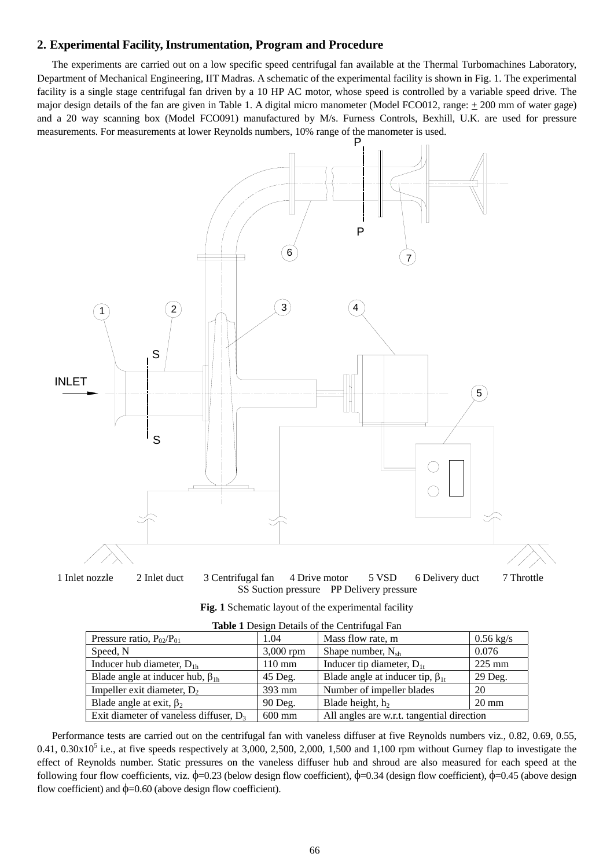#### **2. Experimental Facility, Instrumentation, Program and Procedure**

The experiments are carried out on a low specific speed centrifugal fan available at the Thermal Turbomachines Laboratory, Department of Mechanical Engineering, IIT Madras. A schematic of the experimental facility is shown in Fig. 1. The experimental facility is a single stage centrifugal fan driven by a 10 HP AC motor, whose speed is controlled by a variable speed drive. The major design details of the fan are given in Table 1. A digital micro manometer (Model FCO012, range:  $\pm$  200 mm of water gage) and a 20 way scanning box (Model FCO091) manufactured by M/s. Furness Controls, Bexhill, U.K. are used for pressure measurements. For measurements at lower Reynolds numbers, 10% range of the manometer is used.



|  |  | Fig. 1 Schematic layout of the experimental facility |  |
|--|--|------------------------------------------------------|--|
|  |  |                                                      |  |

| <b>THERE I</b> DUSIGN DURING OF the Content again I am |                  |                                            |                  |  |  |
|--------------------------------------------------------|------------------|--------------------------------------------|------------------|--|--|
| Pressure ratio, $P_{02}/P_{01}$                        | 1.04             | Mass flow rate, m                          | $0.56$ kg/s      |  |  |
| Speed, N                                               | $3,000$ rpm      | Shape number, $N_{sh}$                     | 0.076            |  |  |
| Inducer hub diameter, $D_{1h}$                         | $110 \text{ mm}$ | Inducer tip diameter, $D_{1t}$             | $225 \text{ mm}$ |  |  |
| Blade angle at inducer hub, $\beta_{1h}$               | 45 Deg.          | Blade angle at inducer tip, $\beta_{1t}$   | 29 Deg.          |  |  |
| Impeller exit diameter, $D_2$                          | $393 \text{ mm}$ | Number of impeller blades                  | 20               |  |  |
| Blade angle at exit, $\beta_2$                         | 90 Deg.          | Blade height, $h_2$                        | $20 \text{ mm}$  |  |  |
| Exit diameter of vaneless diffuser, $D_3$              | $600$ mm         | All angles are w.r.t. tangential direction |                  |  |  |

|  |  | <b>Table 1</b> Design Details of the Centrifugal Fan |  |
|--|--|------------------------------------------------------|--|
|  |  |                                                      |  |

Performance tests are carried out on the centrifugal fan with vaneless diffuser at five Reynolds numbers viz., 0.82, 0.69, 0.55,  $0.41, 0.30x10<sup>5</sup>$  i.e., at five speeds respectively at 3,000, 2,500, 2,000, 1,500 and 1,100 rpm without Gurney flap to investigate the effect of Reynolds number. Static pressures on the vaneless diffuser hub and shroud are also measured for each speed at the following four flow coefficients, viz.  $\phi$ =0.23 (below design flow coefficient),  $\phi$ =0.34 (design flow coefficient),  $\phi$ =0.45 (above design flow coefficient) and  $\phi$ =0.60 (above design flow coefficient).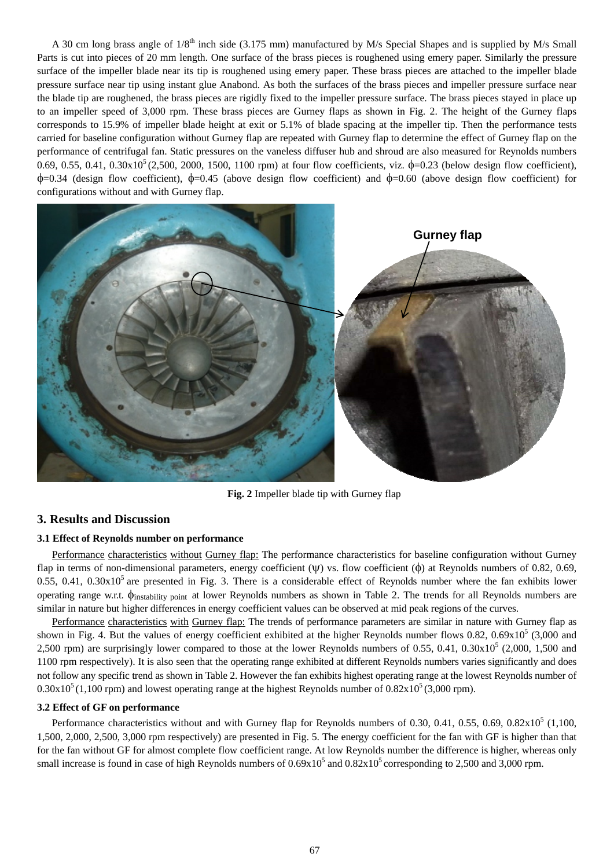A 30 cm long brass angle of  $1/8<sup>th</sup>$  inch side (3.175 mm) manufactured by M/s Special Shapes and is supplied by M/s Small Parts is cut into pieces of 20 mm length. One surface of the brass pieces is roughened using emery paper. Similarly the pressure surface of the impeller blade near its tip is roughened using emery paper. These brass pieces are attached to the impeller blade pressure surface near tip using instant glue Anabond. As both the surfaces of the brass pieces and impeller pressure surface near the blade tip are roughened, the brass pieces are rigidly fixed to the impeller pressure surface. The brass pieces stayed in place up to an impeller speed of 3,000 rpm. These brass pieces are Gurney flaps as shown in Fig. 2. The height of the Gurney flaps corresponds to 15.9% of impeller blade height at exit or 5.1% of blade spacing at the impeller tip. Then the performance tests carried for baseline configuration without Gurney flap are repeated with Gurney flap to determine the effect of Gurney flap on the performance of centrifugal fan. Static pressures on the vaneless diffuser hub and shroud are also measured for Reynolds numbers 0.69, 0.55, 0.41, 0.30x10<sup>5</sup> (2,500, 2000, 1500, 1100 rpm) at four flow coefficients, viz.  $\phi$ =0.23 (below design flow coefficient),  $\phi$ =0.34 (design flow coefficient),  $\phi$ =0.45 (above design flow coefficient) and  $\phi$ =0.60 (above design flow coefficient) for configurations without and with Gurney flap.



**Fig. 2** Impeller blade tip with Gurney flap

## **3. Results and Discussion**

#### **3.1 Effect of Reynolds number on performance**

Performance characteristics without Gurney flap: The performance characteristics for baseline configuration without Gurney flap in terms of non-dimensional parameters, energy coefficient  $(\psi)$  vs. flow coefficient  $(\phi)$  at Reynolds numbers of 0.82, 0.69, 0.55, 0.41, 0.30 $x10<sup>5</sup>$  are presented in Fig. 3. There is a considerable effect of Reynolds number where the fan exhibits lower operating range w.r.t. φinstability point at lower Reynolds numbers as shown in Table 2. The trends for all Reynolds numbers are similar in nature but higher differences in energy coefficient values can be observed at mid peak regions of the curves.

Performance characteristics with Gurney flap: The trends of performance parameters are similar in nature with Gurney flap as shown in Fig. 4. But the values of energy coefficient exhibited at the higher Reynolds number flows  $0.82$ ,  $0.69 \times 10^5$  (3,000 and 2,500 rpm) are surprisingly lower compared to those at the lower Reynolds numbers of 0.55, 0.41, 0.30 $\times10^5$  (2,000, 1,500 and 1100 rpm respectively). It is also seen that the operating range exhibited at different Reynolds numbers varies significantly and does not follow any specific trend as shown in Table 2. However the fan exhibits highest operating range at the lowest Reynolds number of  $0.30x10<sup>5</sup>$  (1,100 rpm) and lowest operating range at the highest Reynolds number of  $0.82x10<sup>5</sup>$  (3,000 rpm).

#### **3.2 Effect of GF on performance**

Performance characteristics without and with Gurney flap for Reynolds numbers of 0.30, 0.41, 0.55, 0.69, 0.82 $x10^5$  (1,100, 1,500, 2,000, 2,500, 3,000 rpm respectively) are presented in Fig. 5. The energy coefficient for the fan with GF is higher than that for the fan without GF for almost complete flow coefficient range. At low Reynolds number the difference is higher, whereas only small increase is found in case of high Reynolds numbers of  $0.69x10^5$  and  $0.82x10^5$  corresponding to 2,500 and 3,000 rpm.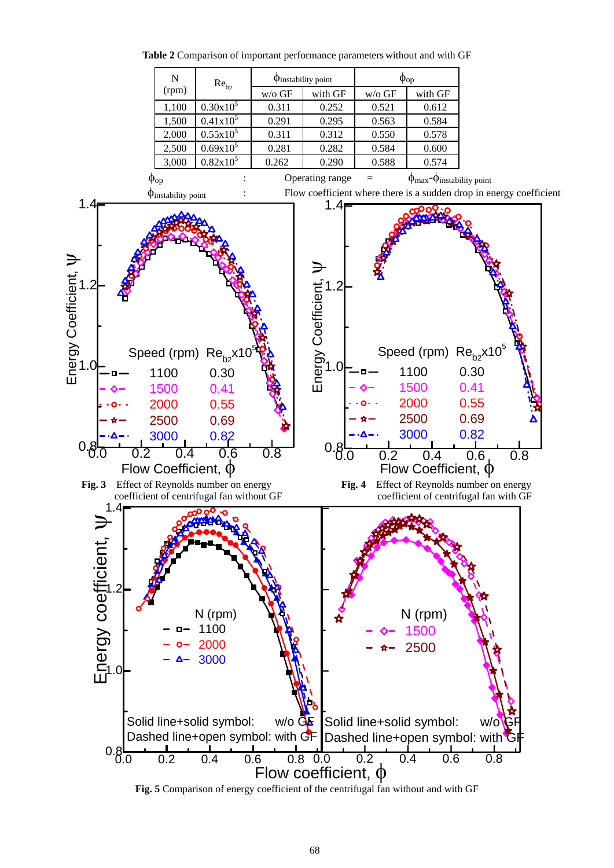

**Table 2** Comparison of important performance parameters without and with GF

**Fig. 5** Comparison of energy coefficient of the centrifugal fan without and with GF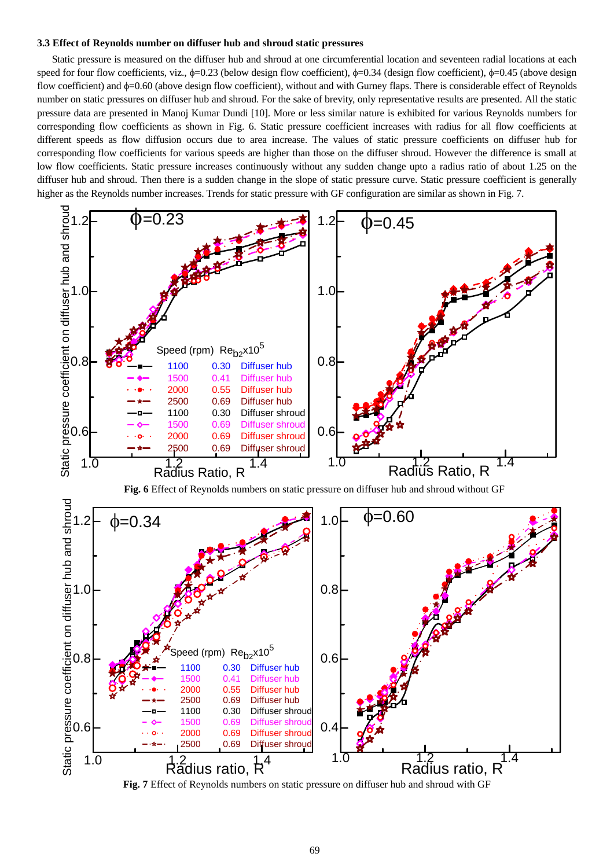#### **3.3 Effect of Reynolds number on diffuser hub and shroud static pressures**

Static pressure is measured on the diffuser hub and shroud at one circumferential location and seventeen radial locations at each speed for four flow coefficients, viz.,  $\phi$ =0.23 (below design flow coefficient),  $\phi$ =0.34 (design flow coefficient),  $\phi$ =0.45 (above design flow coefficient) and φ=0.60 (above design flow coefficient), without and with Gurney flaps. There is considerable effect of Reynolds number on static pressures on diffuser hub and shroud. For the sake of brevity, only representative results are presented. All the static pressure data are presented in Manoj Kumar Dundi [10]. More or less similar nature is exhibited for various Reynolds numbers for corresponding flow coefficients as shown in Fig. 6. Static pressure coefficient increases with radius for all flow coefficients at different speeds as flow diffusion occurs due to area increase. The values of static pressure coefficients on diffuser hub for corresponding flow coefficients for various speeds are higher than those on the diffuser shroud. However the difference is small at low flow coefficients. Static pressure increases continuously without any sudden change upto a radius ratio of about 1.25 on the diffuser hub and shroud. Then there is a sudden change in the slope of static pressure curve. Static pressure coefficient is generally higher as the Reynolds number increases. Trends for static pressure with GF configuration are similar as shown in Fig. 7.



**Fig. 7** Effect of Reynolds numbers on static pressure on diffuser hub and shroud with GF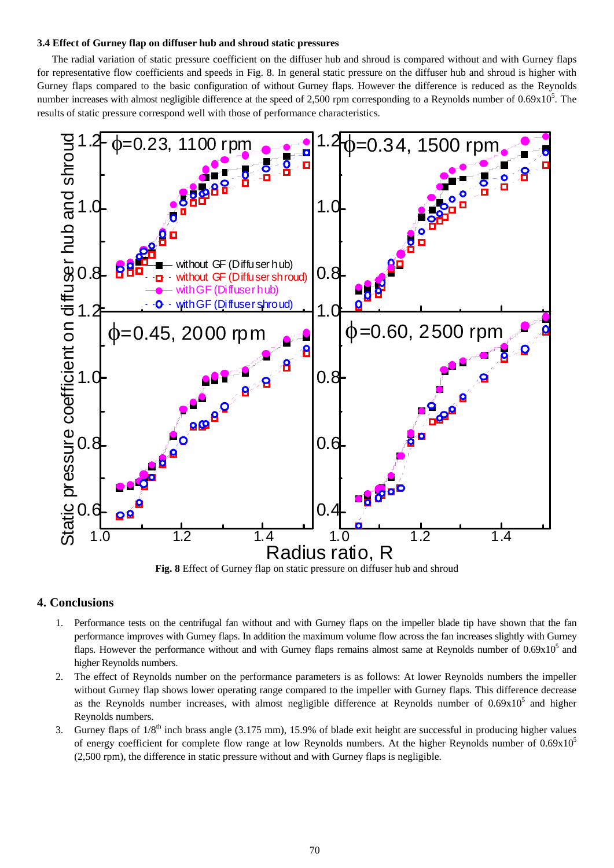#### **3.4 Effect of Gurney flap on diffuser hub and shroud static pressures**

The radial variation of static pressure coefficient on the diffuser hub and shroud is compared without and with Gurney flaps for representative flow coefficients and speeds in Fig. 8. In general static pressure on the diffuser hub and shroud is higher with Gurney flaps compared to the basic configuration of without Gurney flaps. However the difference is reduced as the Reynolds number increases with almost negligible difference at the speed of 2,500 rpm corresponding to a Reynolds number of  $0.69x10<sup>5</sup>$ . The results of static pressure correspond well with those of performance characteristics.



**Fig. 8** Effect of Gurney flap on static pressure on diffuser hub and shroud

# **4. Conclusions**

- 1. Performance tests on the centrifugal fan without and with Gurney flaps on the impeller blade tip have shown that the fan performance improves with Gurney flaps. In addition the maximum volume flow across the fan increases slightly with Gurney flaps. However the performance without and with Gurney flaps remains almost same at Reynolds number of  $0.69x10<sup>5</sup>$  and higher Reynolds numbers.
- 2. The effect of Reynolds number on the performance parameters is as follows: At lower Reynolds numbers the impeller without Gurney flap shows lower operating range compared to the impeller with Gurney flaps. This difference decrease as the Reynolds number increases, with almost negligible difference at Reynolds number of  $0.69 \times 10^5$  and higher Reynolds numbers.
- 3. Gurney flaps of  $1/8<sup>th</sup>$  inch brass angle (3.175 mm), 15.9% of blade exit height are successful in producing higher values of energy coefficient for complete flow range at low Reynolds numbers. At the higher Reynolds number of  $0.69x10<sup>5</sup>$ (2,500 rpm), the difference in static pressure without and with Gurney flaps is negligible.